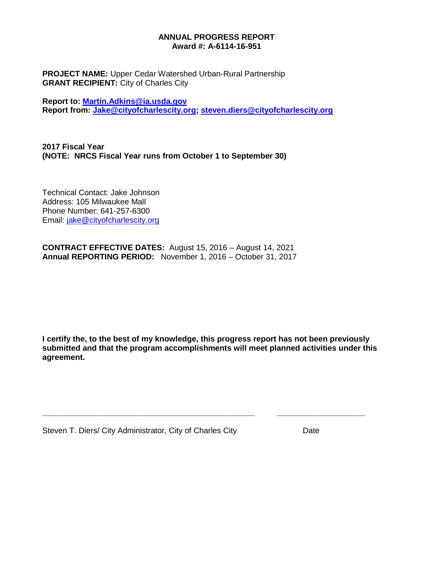#### **ANNUAL PROGRESS REPORT Award #: A-6114-16-951**

**PROJECT NAME:** Upper Cedar Watershed Urban-Rural Partnership **GRANT RECIPIENT:** City of Charles City

**Report to: [Martin.Adkins@ia.usda.gov](mailto:Martin.Adkins@ia.usda.gov) Report from: [Jake@cityofcharlescity.org;](mailto:Jake@cityofcharlescity.org) [steven.diers@cityofcharlescity.org](mailto:steven.diers@cityofcharlescity.org)**

**2017 Fiscal Year (NOTE: NRCS Fiscal Year runs from October 1 to September 30)**

Technical Contact: Jake Johnson Address: 105 Milwaukee Mall Phone Number: 641-257-6300 Email: [jake@cityofcharlescity.org](mailto:jake@cityofcharlescity.org)

**CONTRACT EFFECTIVE DATES:** August 15, 2016 – August 14, 2021 **Annual REPORTING PERIOD:** November 1, 2016 – October 31, 2017

**I certify the, to the best of my knowledge, this progress report has not been previously submitted and that the program accomplishments will meet planned activities under this agreement.**

**\_\_\_\_\_\_\_\_\_\_\_\_\_\_\_\_\_\_\_\_\_\_\_\_\_\_\_\_\_\_\_\_\_\_\_\_\_\_\_\_\_\_\_\_\_\_\_\_ \_\_\_\_\_\_\_\_\_\_\_\_\_\_\_\_\_\_\_\_**

Steven T. Diers/ City Administrator, City of Charles City **Date**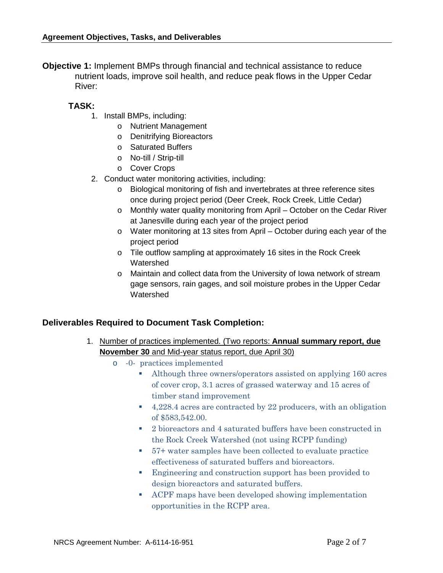**Objective 1:** Implement BMPs through financial and technical assistance to reduce nutrient loads, improve soil health, and reduce peak flows in the Upper Cedar River:

# **TASK:**

- 1. Install BMPs, including:
	- o Nutrient Management
	- o Denitrifying Bioreactors
	- o Saturated Buffers
	- o No-till / Strip-till
	- o Cover Crops
- 2. Conduct water monitoring activities, including:
	- o Biological monitoring of fish and invertebrates at three reference sites once during project period (Deer Creek, Rock Creek, Little Cedar)
	- o Monthly water quality monitoring from April October on the Cedar River at Janesville during each year of the project period
	- o Water monitoring at 13 sites from April October during each year of the project period
	- o Tile outflow sampling at approximately 16 sites in the Rock Creek Watershed
	- o Maintain and collect data from the University of Iowa network of stream gage sensors, rain gages, and soil moisture probes in the Upper Cedar **Watershed**

## **Deliverables Required to Document Task Completion:**

- 1. Number of practices implemented. (Two reports: **Annual summary report, due November 30** and Mid-year status report, due April 30)
	- o -0- practices implemented
		- Although three owners/operators assisted on applying 160 acres of cover crop, 3.1 acres of grassed waterway and 15 acres of timber stand improvement
		- 4,228.4 acres are contracted by 22 producers, with an obligation of \$583,542.00.
		- 2 bioreactors and 4 saturated buffers have been constructed in the Rock Creek Watershed (not using RCPP funding)
		- 57+ water samples have been collected to evaluate practice effectiveness of saturated buffers and bioreactors.
		- **Engineering and construction support has been provided to** design bioreactors and saturated buffers.
		- ACPF maps have been developed showing implementation opportunities in the RCPP area.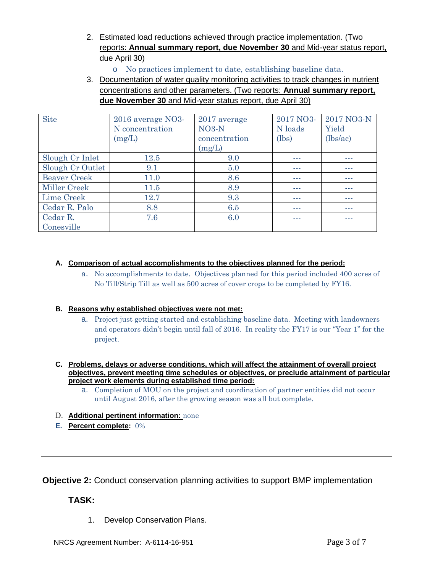- 2. Estimated load reductions achieved through practice implementation. (Two reports: **Annual summary report, due November 30** and Mid-year status report, due April 30)
	- o No practices implement to date, establishing baseline data.
- 3. Documentation of water quality monitoring activities to track changes in nutrient concentrations and other parameters. (Two reports: **Annual summary report, due November 30** and Mid-year status report, due April 30)

| <b>Site</b>         | $2016$ average NO3-<br>N concentration<br>(mg/L) | 2017 average<br>$NO3-N$<br>concentration<br>(mg/L) | 2017 NO3-<br>N loads<br>(lbs) | 2017 NO3-N<br>Yield<br>(lbs/ac) |
|---------------------|--------------------------------------------------|----------------------------------------------------|-------------------------------|---------------------------------|
| Slough Cr Inlet     | <b>12.5</b>                                      | 9.0                                                |                               |                                 |
| Slough Cr Outlet    | 9.1                                              | 5.0                                                |                               |                                 |
| <b>Beaver Creek</b> | 11.0                                             | 8.6                                                |                               | ---                             |
| Miller Creek        | 11.5                                             | 8.9                                                |                               | ---                             |
| Lime Creek          | 12.7                                             | 9.3                                                |                               | ---                             |
| Cedar R. Palo       | 8.8                                              | 6.5                                                |                               | ---                             |
| Cedar R.            | 7.6                                              | 6.0                                                | ---                           |                                 |
| Conesville          |                                                  |                                                    |                               |                                 |

## **A. Comparison of actual accomplishments to the objectives planned for the period:**

a. No accomplishments to date. Objectives planned for this period included 400 acres of No Till/Strip Till as well as 500 acres of cover crops to be completed by FY16.

## **B. Reasons why established objectives were not met:**

a. Project just getting started and establishing baseline data. Meeting with landowners and operators didn't begin until fall of 2016. In reality the FY17 is our "Year 1" for the project.

#### **C. Problems, delays or adverse conditions, which will affect the attainment of overall project objectives, prevent meeting time schedules or objectives, or preclude attainment of particular project work elements during established time period:**

- a. Completion of MOU on the project and coordination of partner entities did not occur until August 2016, after the growing season was all but complete.
- D. **Additional pertinent information:** none
- **E. Percent complete:** 0%

**Objective 2:** Conduct conservation planning activities to support BMP implementation

# **TASK:**

1. Develop Conservation Plans.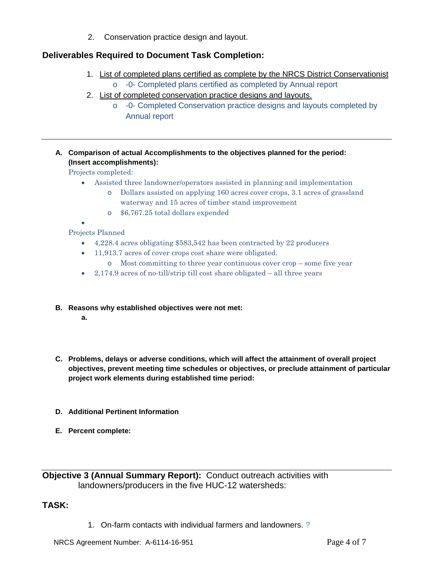2. Conservation practice design and layout.

# **Deliverables Required to Document Task Completion:**

- 1. List of completed plans certified as complete by the NRCS District Conservationist o -0- Completed plans certified as completed by Annual report
- 2. List of completed conservation practice designs and layouts.
	- o -0- Completed Conservation practice designs and layouts completed by Annual report
- **A. Comparison of actual Accomplishments to the objectives planned for the period: (Insert accomplishments):**

Projects completed:

- Assisted three landowner/operators assisted in planning and implementation
	- o Dollars assisted on applying 160 acres cover crops, 3.1 acres of grassland waterway and 15 acres of timber stand improvement
	- o \$6,767.25 total dollars expended
- •

Projects Planned

- 4,228.4 acres obligating \$583,542 has been contracted by 22 producers
- 11,913.7 acres of cover crops cost share were obligated.
	- o Most committing to three year continuous cover crop some five year
- 2,174.9 acres of no-till/strip till cost share obligated  $-$  all three years
- **B. Reasons why established objectives were not met:**
	- **a.**
- **C. Problems, delays or adverse conditions, which will affect the attainment of overall project objectives, prevent meeting time schedules or objectives, or preclude attainment of particular project work elements during established time period:**
- **D. Additional Pertinent Information**
- **E. Percent complete:**

**Objective 3 (Annual Summary Report):** Conduct outreach activities with landowners/producers in the five HUC-12 watersheds:

**TASK:**

1. On-farm contacts with individual farmers and landowners. ?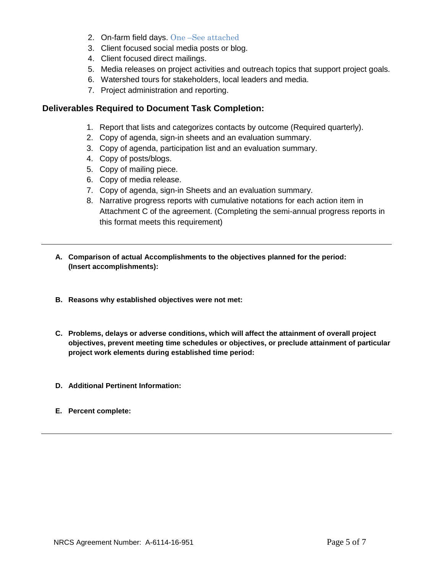- 2. On-farm field days. One –See attached
- 3. Client focused social media posts or blog.
- 4. Client focused direct mailings.
- 5. Media releases on project activities and outreach topics that support project goals.
- 6. Watershed tours for stakeholders, local leaders and media.
- 7. Project administration and reporting.

## **Deliverables Required to Document Task Completion:**

- 1. Report that lists and categorizes contacts by outcome (Required quarterly).
- 2. Copy of agenda, sign-in sheets and an evaluation summary.
- 3. Copy of agenda, participation list and an evaluation summary.
- 4. Copy of posts/blogs.
- 5. Copy of mailing piece.
- 6. Copy of media release.
- 7. Copy of agenda, sign-in Sheets and an evaluation summary.
- 8. Narrative progress reports with cumulative notations for each action item in Attachment C of the agreement. (Completing the semi-annual progress reports in this format meets this requirement)
- **A. Comparison of actual Accomplishments to the objectives planned for the period: (Insert accomplishments):**
- **B. Reasons why established objectives were not met:**
- **C. Problems, delays or adverse conditions, which will affect the attainment of overall project objectives, prevent meeting time schedules or objectives, or preclude attainment of particular project work elements during established time period:**
- **D. Additional Pertinent Information:**
- **E. Percent complete:**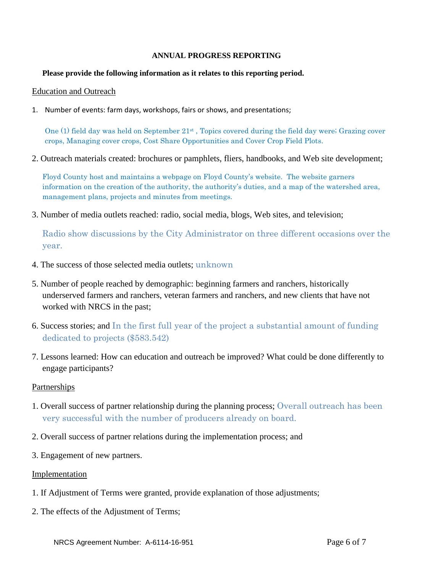#### **ANNUAL PROGRESS REPORTING**

#### **Please provide the following information as it relates to this reporting period.**

#### Education and Outreach

1. Number of events: farm days, workshops, fairs or shows, and presentations;

One (1) field day was held on September 21st , Topics covered during the field day were; Grazing cover crops, Managing cover crops, Cost Share Opportunities and Cover Crop Field Plots.

2. Outreach materials created: brochures or pamphlets, fliers, handbooks, and Web site development;

Floyd County host and maintains a webpage on Floyd County's website. The website garners information on the creation of the authority, the authority's duties, and a map of the watershed area, management plans, projects and minutes from meetings.

3. Number of media outlets reached: radio, social media, blogs, Web sites, and television;

Radio show discussions by the City Administrator on three different occasions over the year.

- 4. The success of those selected media outlets; unknown
- 5. Number of people reached by demographic: beginning farmers and ranchers, historically underserved farmers and ranchers, veteran farmers and ranchers, and new clients that have not worked with NRCS in the past;
- 6. Success stories; and In the first full year of the project a substantial amount of funding dedicated to projects (\$583.542)
- 7. Lessons learned: How can education and outreach be improved? What could be done differently to engage participants?

## Partnerships

- 1. Overall success of partner relationship during the planning process; Overall outreach has been very successful with the number of producers already on board.
- 2. Overall success of partner relations during the implementation process; and
- 3. Engagement of new partners.

## Implementation

- 1. If Adjustment of Terms were granted, provide explanation of those adjustments;
- 2. The effects of the Adjustment of Terms;